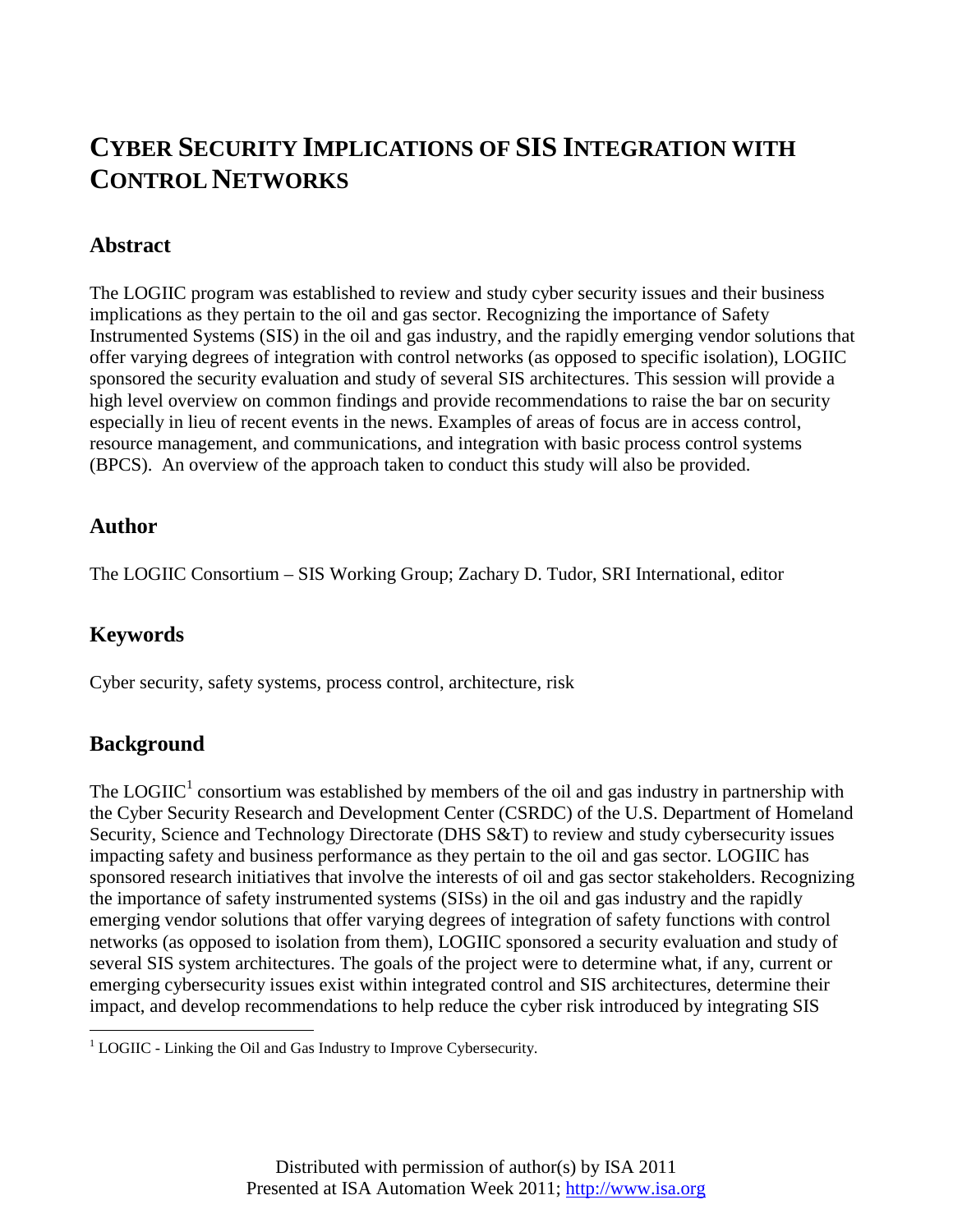# **CYBER SECURITY IMPLICATIONS OF SIS INTEGRATION WITH CONTROL NETWORKS**

#### **Abstract**

The LOGIIC program was established to review and study cyber security issues and their business implications as they pertain to the oil and gas sector. Recognizing the importance of Safety Instrumented Systems (SIS) in the oil and gas industry, and the rapidly emerging vendor solutions that offer varying degrees of integration with control networks (as opposed to specific isolation), LOGIIC sponsored the security evaluation and study of several SIS architectures. This session will provide a high level overview on common findings and provide recommendations to raise the bar on security especially in lieu of recent events in the news. Examples of areas of focus are in access control, resource management, and communications, and integration with basic process control systems (BPCS). An overview of the approach taken to conduct this study will also be provided.

#### **Author**

The LOGIIC Consortium – SIS Working Group; Zachary D. Tudor, SRI International, editor

# **Keywords**

Cyber security, safety systems, process control, architecture, risk

### **Background**

The  $LOGIC<sup>1</sup>$  consortium was established by members of the oil and gas industry in partnership with the Cyber Security Research and Development Center (CSRDC) of the U.S. Department of Homeland Security, Science and Technology Directorate (DHS S&T) to review and study cybersecurity issues impacting safety and business performance as they pertain to the oil and gas sector. LOGIIC has sponsored research initiatives that involve the interests of oil and gas sector stakeholders. Recognizing the importance of safety instrumented systems (SISs) in the oil and gas industry and the rapidly emerging vendor solutions that offer varying degrees of integration of safety functions with control networks (as opposed to isolation from them), LOGIIC sponsored a security evaluation and study of several SIS system architectures. The goals of the project were to determine what, if any, current or emerging cybersecurity issues exist within integrated control and SIS architectures, determine their impact, and develop recommendations to help reduce the cyber risk introduced by integrating SIS

<sup>&</sup>lt;sup>1</sup> LOGIIC - Linking the Oil and Gas Industry to Improve Cybersecurity.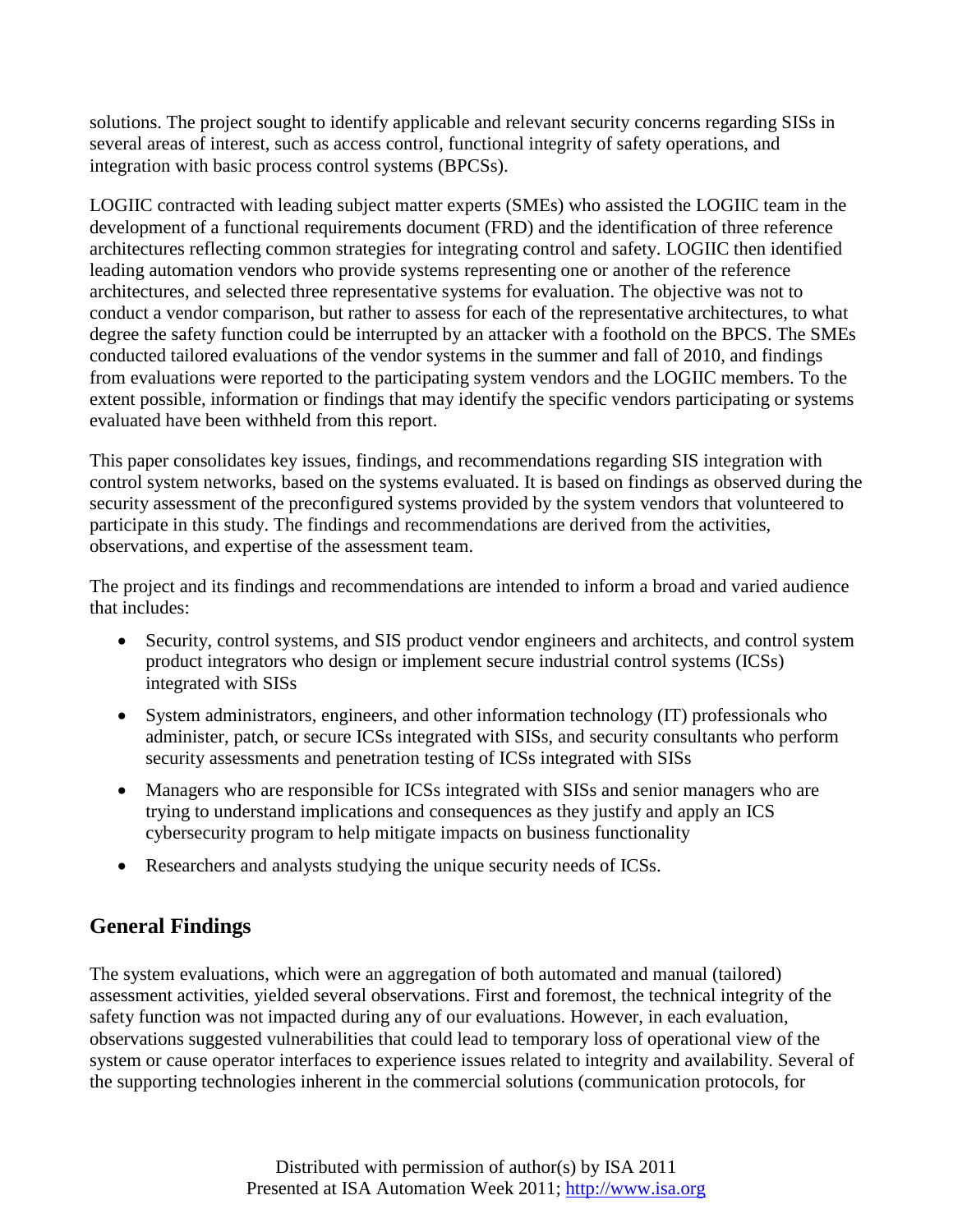solutions. The project sought to identify applicable and relevant security concerns regarding SISs in several areas of interest, such as access control, functional integrity of safety operations, and integration with basic process control systems (BPCSs).

LOGIIC contracted with leading subject matter experts (SMEs) who assisted the LOGIIC team in the development of a functional requirements document (FRD) and the identification of three reference architectures reflecting common strategies for integrating control and safety. LOGIIC then identified leading automation vendors who provide systems representing one or another of the reference architectures, and selected three representative systems for evaluation. The objective was not to conduct a vendor comparison, but rather to assess for each of the representative architectures, to what degree the safety function could be interrupted by an attacker with a foothold on the BPCS. The SMEs conducted tailored evaluations of the vendor systems in the summer and fall of 2010, and findings from evaluations were reported to the participating system vendors and the LOGIIC members. To the extent possible, information or findings that may identify the specific vendors participating or systems evaluated have been withheld from this report.

This paper consolidates key issues, findings, and recommendations regarding SIS integration with control system networks, based on the systems evaluated. It is based on findings as observed during the security assessment of the preconfigured systems provided by the system vendors that volunteered to participate in this study. The findings and recommendations are derived from the activities, observations, and expertise of the assessment team.

The project and its findings and recommendations are intended to inform a broad and varied audience that includes:

- Security, control systems, and SIS product vendor engineers and architects, and control system product integrators who design or implement secure industrial control systems (ICSs) integrated with SISs
- System administrators, engineers, and other information technology (IT) professionals who administer, patch, or secure ICSs integrated with SISs, and security consultants who perform security assessments and penetration testing of ICSs integrated with SISs
- Managers who are responsible for ICSs integrated with SISs and senior managers who are trying to understand implications and consequences as they justify and apply an ICS cybersecurity program to help mitigate impacts on business functionality
- Researchers and analysts studying the unique security needs of ICSs.

# **General Findings**

The system evaluations, which were an aggregation of both automated and manual (tailored) assessment activities, yielded several observations. First and foremost, the technical integrity of the safety function was not impacted during any of our evaluations. However, in each evaluation, observations suggested vulnerabilities that could lead to temporary loss of operational view of the system or cause operator interfaces to experience issues related to integrity and availability. Several of the supporting technologies inherent in the commercial solutions (communication protocols, for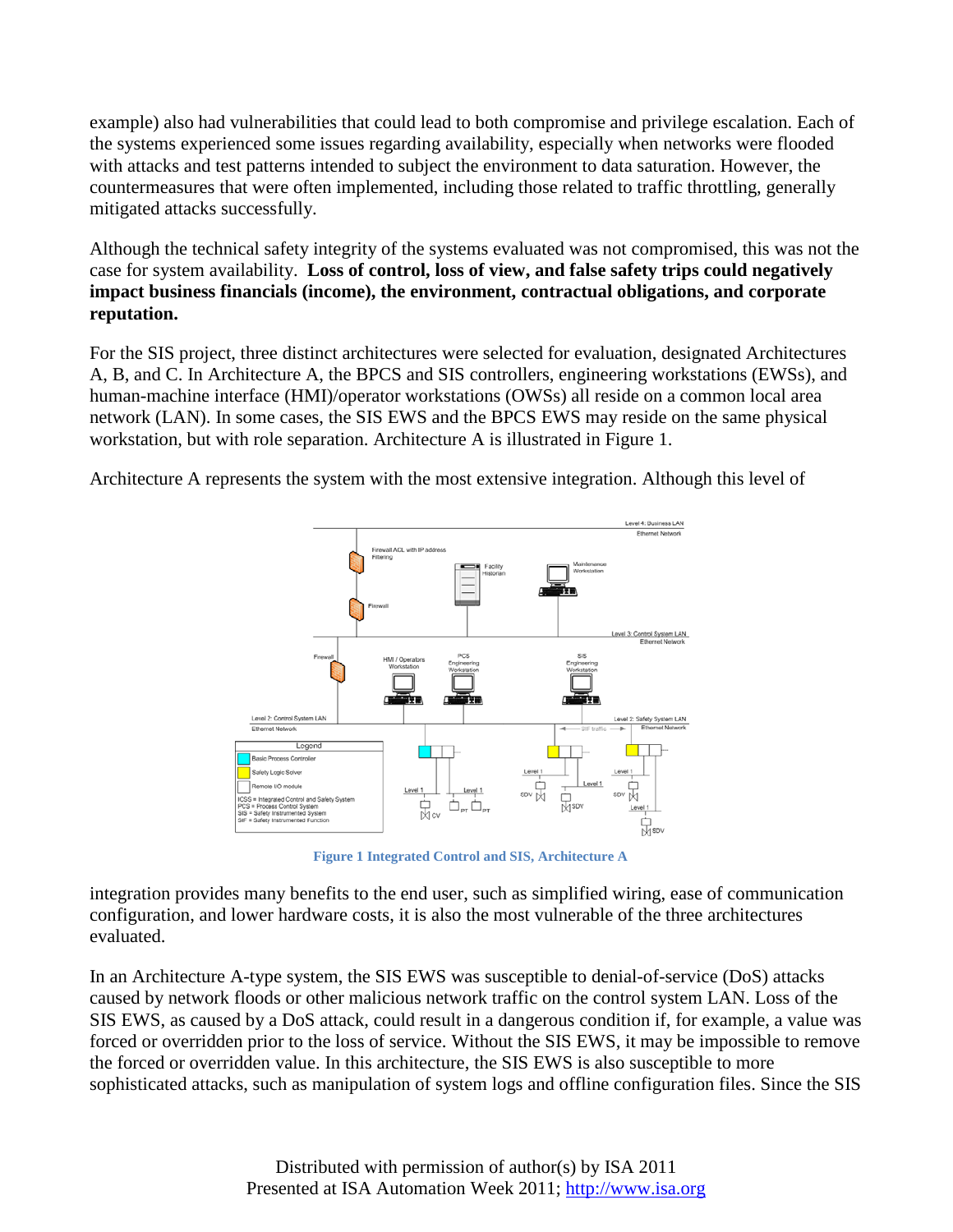example) also had vulnerabilities that could lead to both compromise and privilege escalation. Each of the systems experienced some issues regarding availability, especially when networks were flooded with attacks and test patterns intended to subject the environment to data saturation. However, the countermeasures that were often implemented, including those related to traffic throttling, generally mitigated attacks successfully.

Although the technical safety integrity of the systems evaluated was not compromised, this was not the case for system availability. **Loss of control, loss of view, and false safety trips could negatively impact business financials (income), the environment, contractual obligations, and corporate reputation.**

For the SIS project, three distinct architectures were selected for evaluation, designated Architectures A, B, and C. In Architecture A, the BPCS and SIS controllers, engineering workstations (EWSs), and human-machine interface (HMI)/operator workstations (OWSs) all reside on a common local area network (LAN). In some cases, the SIS EWS and the BPCS EWS may reside on the same physical workstation, but with role separation. Architecture A is illustrated in Figure 1.

Architecture A represents the system with the most extensive integration. Although this level of



**Figure 1 Integrated Control and SIS, Architecture A**

integration provides many benefits to the end user, such as simplified wiring, ease of communication configuration, and lower hardware costs, it is also the most vulnerable of the three architectures evaluated.

In an Architecture A-type system, the SIS EWS was susceptible to denial-of-service (DoS) attacks caused by network floods or other malicious network traffic on the control system LAN. Loss of the SIS EWS, as caused by a DoS attack, could result in a dangerous condition if, for example, a value was forced or overridden prior to the loss of service. Without the SIS EWS, it may be impossible to remove the forced or overridden value. In this architecture, the SIS EWS is also susceptible to more sophisticated attacks, such as manipulation of system logs and offline configuration files. Since the SIS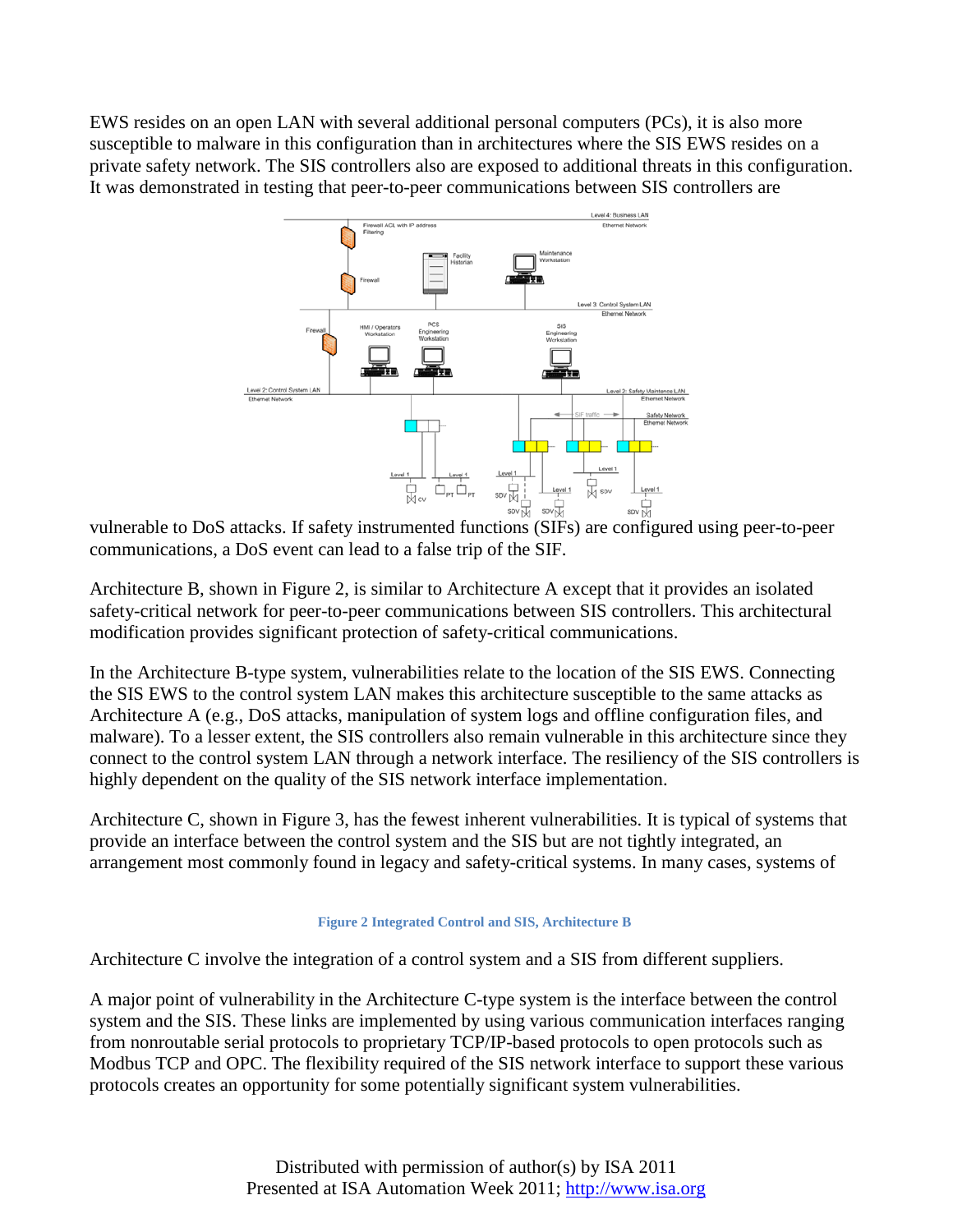EWS resides on an open LAN with several additional personal computers (PCs), it is also more susceptible to malware in this configuration than in architectures where the SIS EWS resides on a private safety network. The SIS controllers also are exposed to additional threats in this configuration. It was demonstrated in testing that peer-to-peer communications between SIS controllers are



vulnerable to DoS attacks. If safety instrumented functions (SIFs) are configured using peer-to-peer<br>vulnerable to DoS attacks. If safety instrumented functions (SIFs) are configured using peer-to-peer communications, a DoS event can lead to a false trip of the SIF.

Architecture B, shown in Figure 2, is similar to Architecture A except that it provides an isolated safety-critical network for peer-to-peer communications between SIS controllers. This architectural modification provides significant protection of safety-critical communications.

In the Architecture B-type system, vulnerabilities relate to the location of the SIS EWS. Connecting the SIS EWS to the control system LAN makes this architecture susceptible to the same attacks as Architecture A (e.g., DoS attacks, manipulation of system logs and offline configuration files, and malware). To a lesser extent, the SIS controllers also remain vulnerable in this architecture since they connect to the control system LAN through a network interface. The resiliency of the SIS controllers is highly dependent on the quality of the SIS network interface implementation.

Architecture C, shown in Figure 3, has the fewest inherent vulnerabilities. It is typical of systems that provide an interface between the control system and the SIS but are not tightly integrated, an arrangement most commonly found in legacy and safety-critical systems. In many cases, systems of

#### **Figure 2 Integrated Control and SIS, Architecture B**

Architecture C involve the integration of a control system and a SIS from different suppliers.

A major point of vulnerability in the Architecture C-type system is the interface between the control system and the SIS. These links are implemented by using various communication interfaces ranging from nonroutable serial protocols to proprietary TCP/IP-based protocols to open protocols such as Modbus TCP and OPC. The flexibility required of the SIS network interface to support these various protocols creates an opportunity for some potentially significant system vulnerabilities.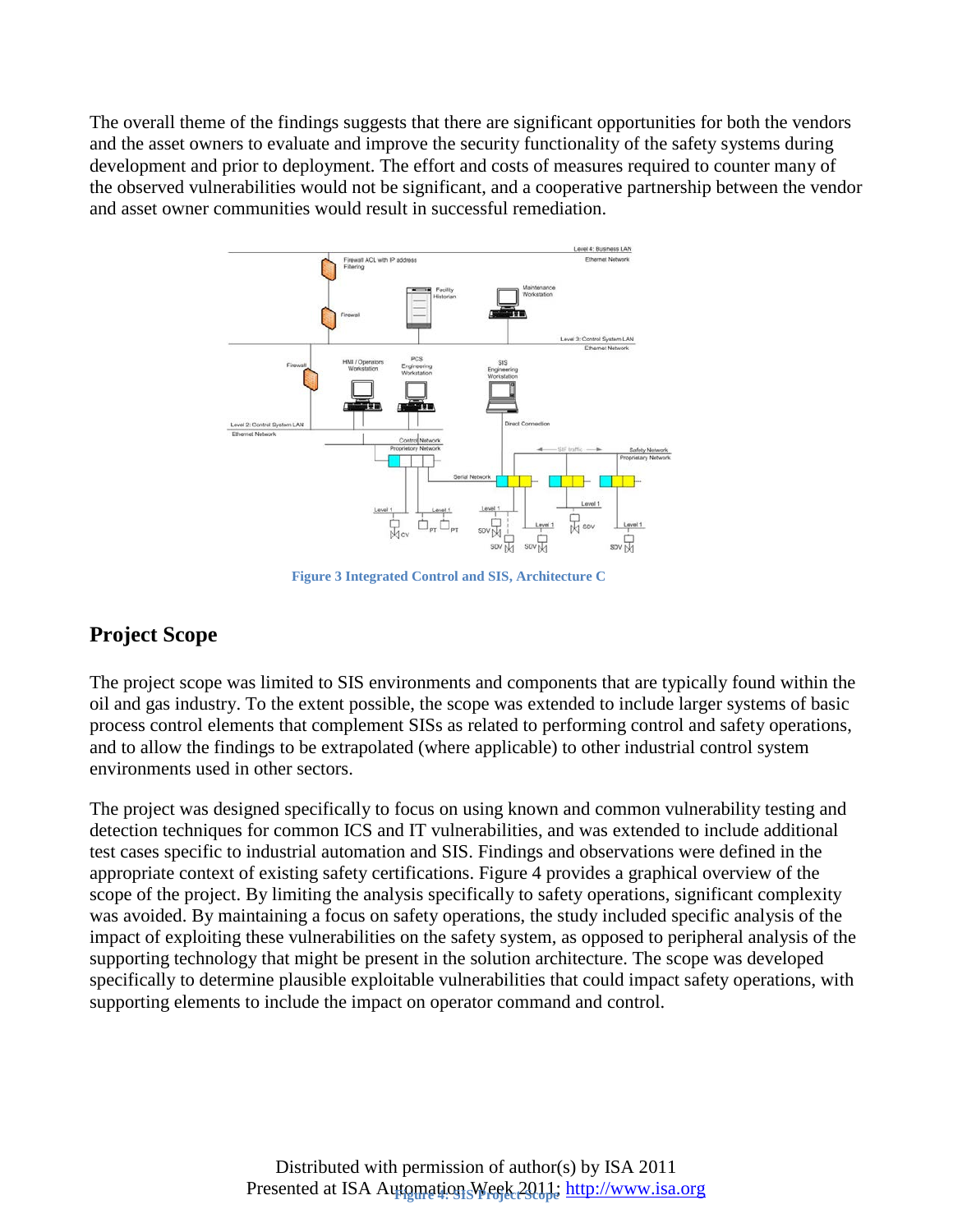The overall theme of the findings suggests that there are significant opportunities for both the vendors and the asset owners to evaluate and improve the security functionality of the safety systems during development and prior to deployment. The effort and costs of measures required to counter many of the observed vulnerabilities would not be significant, and a cooperative partnership between the vendor and asset owner communities would result in successful remediation.



**Figure 3 Integrated Control and SIS, Architecture C**

# **Project Scope**

The project scope was limited to SIS environments and components that are typically found within the oil and gas industry. To the extent possible, the scope was extended to include larger systems of basic process control elements that complement SISs as related to performing control and safety operations, and to allow the findings to be extrapolated (where applicable) to other industrial control system environments used in other sectors.

The project was designed specifically to focus on using known and common vulnerability testing and detection techniques for common ICS and IT vulnerabilities, and was extended to include additional test cases specific to industrial automation and SIS. Findings and observations were defined in the appropriate context of existing safety certifications. Figure 4 provides a graphical overview of the scope of the project. By limiting the analysis specifically to safety operations, significant complexity was avoided. By maintaining a focus on safety operations, the study included specific analysis of the impact of exploiting these vulnerabilities on the safety system, as opposed to peripheral analysis of the supporting technology that might be present in the solution architecture. The scope was developed specifically to determine plausible exploitable vulnerabilities that could impact safety operations, with supporting elements to include the impact on operator command and control.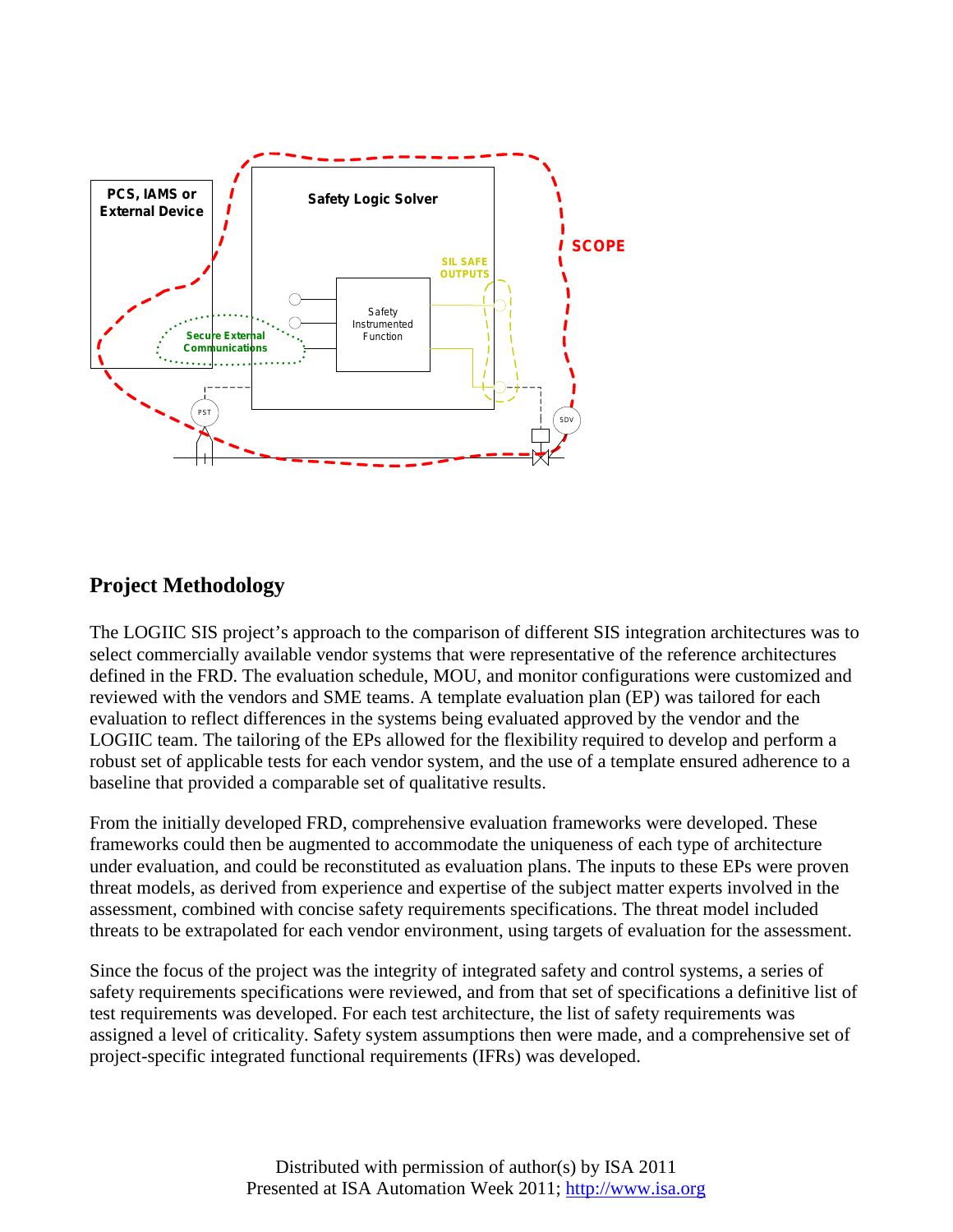

# **Project Methodology**

The LOGIIC SIS project's approach to the comparison of different SIS integration architectures was to select commercially available vendor systems that were representative of the reference architectures defined in the FRD. The evaluation schedule, MOU, and monitor configurations were customized and reviewed with the vendors and SME teams. A template evaluation plan (EP) was tailored for each evaluation to reflect differences in the systems being evaluated approved by the vendor and the LOGIIC team. The tailoring of the EPs allowed for the flexibility required to develop and perform a robust set of applicable tests for each vendor system, and the use of a template ensured adherence to a baseline that provided a comparable set of qualitative results.

From the initially developed FRD, comprehensive evaluation frameworks were developed. These frameworks could then be augmented to accommodate the uniqueness of each type of architecture under evaluation, and could be reconstituted as evaluation plans. The inputs to these EPs were proven threat models, as derived from experience and expertise of the subject matter experts involved in the assessment, combined with concise safety requirements specifications. The threat model included threats to be extrapolated for each vendor environment, using targets of evaluation for the assessment.

Since the focus of the project was the integrity of integrated safety and control systems, a series of safety requirements specifications were reviewed, and from that set of specifications a definitive list of test requirements was developed. For each test architecture, the list of safety requirements was assigned a level of criticality. Safety system assumptions then were made, and a comprehensive set of project-specific integrated functional requirements (IFRs) was developed.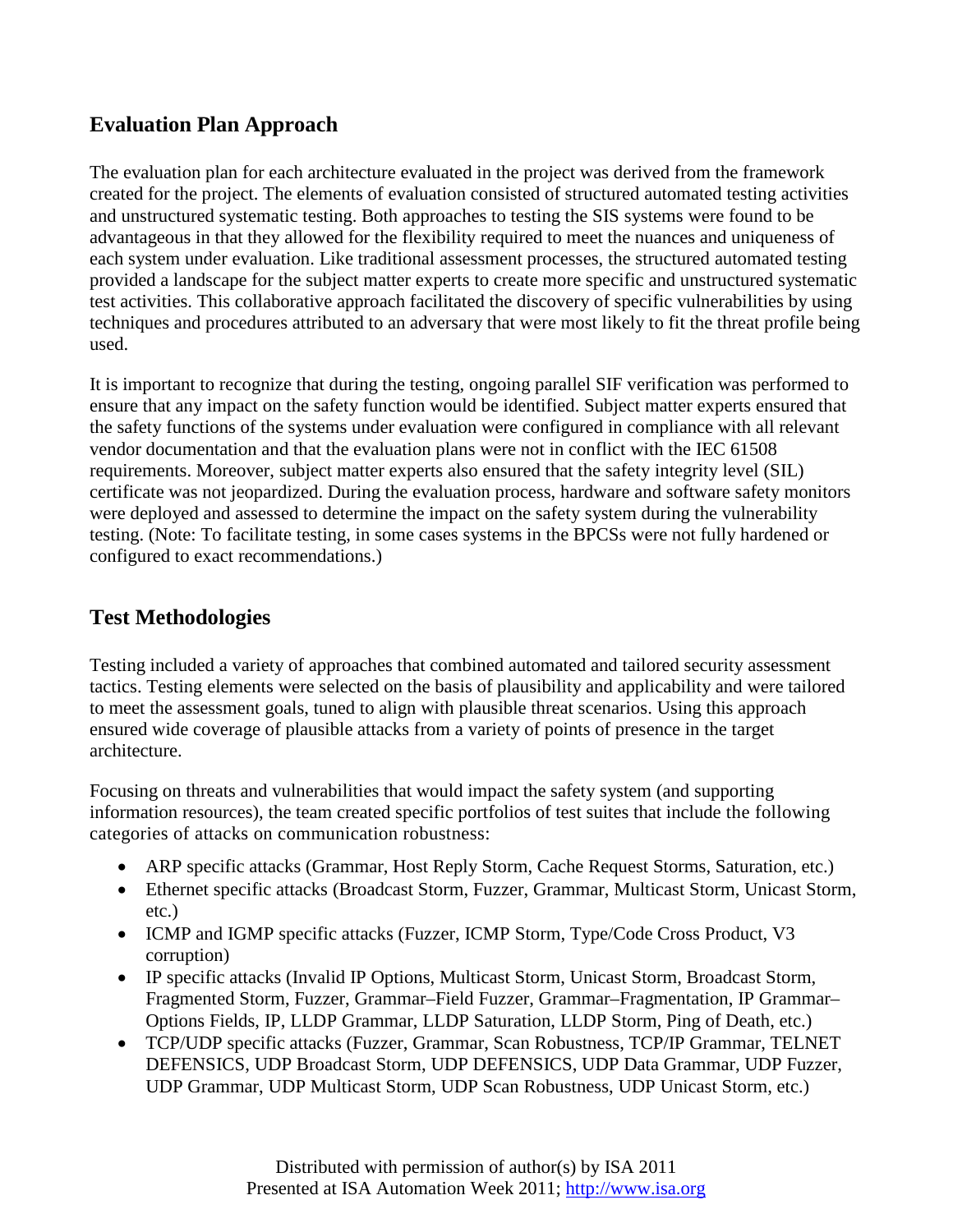# **Evaluation Plan Approach**

The evaluation plan for each architecture evaluated in the project was derived from the framework created for the project. The elements of evaluation consisted of structured automated testing activities and unstructured systematic testing. Both approaches to testing the SIS systems were found to be advantageous in that they allowed for the flexibility required to meet the nuances and uniqueness of each system under evaluation. Like traditional assessment processes, the structured automated testing provided a landscape for the subject matter experts to create more specific and unstructured systematic test activities. This collaborative approach facilitated the discovery of specific vulnerabilities by using techniques and procedures attributed to an adversary that were most likely to fit the threat profile being used.

It is important to recognize that during the testing, ongoing parallel SIF verification was performed to ensure that any impact on the safety function would be identified. Subject matter experts ensured that the safety functions of the systems under evaluation were configured in compliance with all relevant vendor documentation and that the evaluation plans were not in conflict with the IEC 61508 requirements. Moreover, subject matter experts also ensured that the safety integrity level (SIL) certificate was not jeopardized. During the evaluation process, hardware and software safety monitors were deployed and assessed to determine the impact on the safety system during the vulnerability testing. (Note: To facilitate testing, in some cases systems in the BPCSs were not fully hardened or configured to exact recommendations.)

# **Test Methodologies**

Testing included a variety of approaches that combined automated and tailored security assessment tactics. Testing elements were selected on the basis of plausibility and applicability and were tailored to meet the assessment goals, tuned to align with plausible threat scenarios. Using this approach ensured wide coverage of plausible attacks from a variety of points of presence in the target architecture.

Focusing on threats and vulnerabilities that would impact the safety system (and supporting information resources), the team created specific portfolios of test suites that include the following categories of attacks on communication robustness:

- ARP specific attacks (Grammar, Host Reply Storm, Cache Request Storms, Saturation, etc.)
- Ethernet specific attacks (Broadcast Storm, Fuzzer, Grammar, Multicast Storm, Unicast Storm, etc.)
- ICMP and IGMP specific attacks (Fuzzer, ICMP Storm, Type/Code Cross Product, V3 corruption)
- IP specific attacks (Invalid IP Options, Multicast Storm, Unicast Storm, Broadcast Storm, Fragmented Storm, Fuzzer, Grammar–Field Fuzzer, Grammar–Fragmentation, IP Grammar– Options Fields, IP, LLDP Grammar, LLDP Saturation, LLDP Storm, Ping of Death, etc.)
- TCP/UDP specific attacks (Fuzzer, Grammar, Scan Robustness, TCP/IP Grammar, TELNET DEFENSICS, UDP Broadcast Storm, UDP DEFENSICS, UDP Data Grammar, UDP Fuzzer, UDP Grammar, UDP Multicast Storm, UDP Scan Robustness, UDP Unicast Storm, etc.)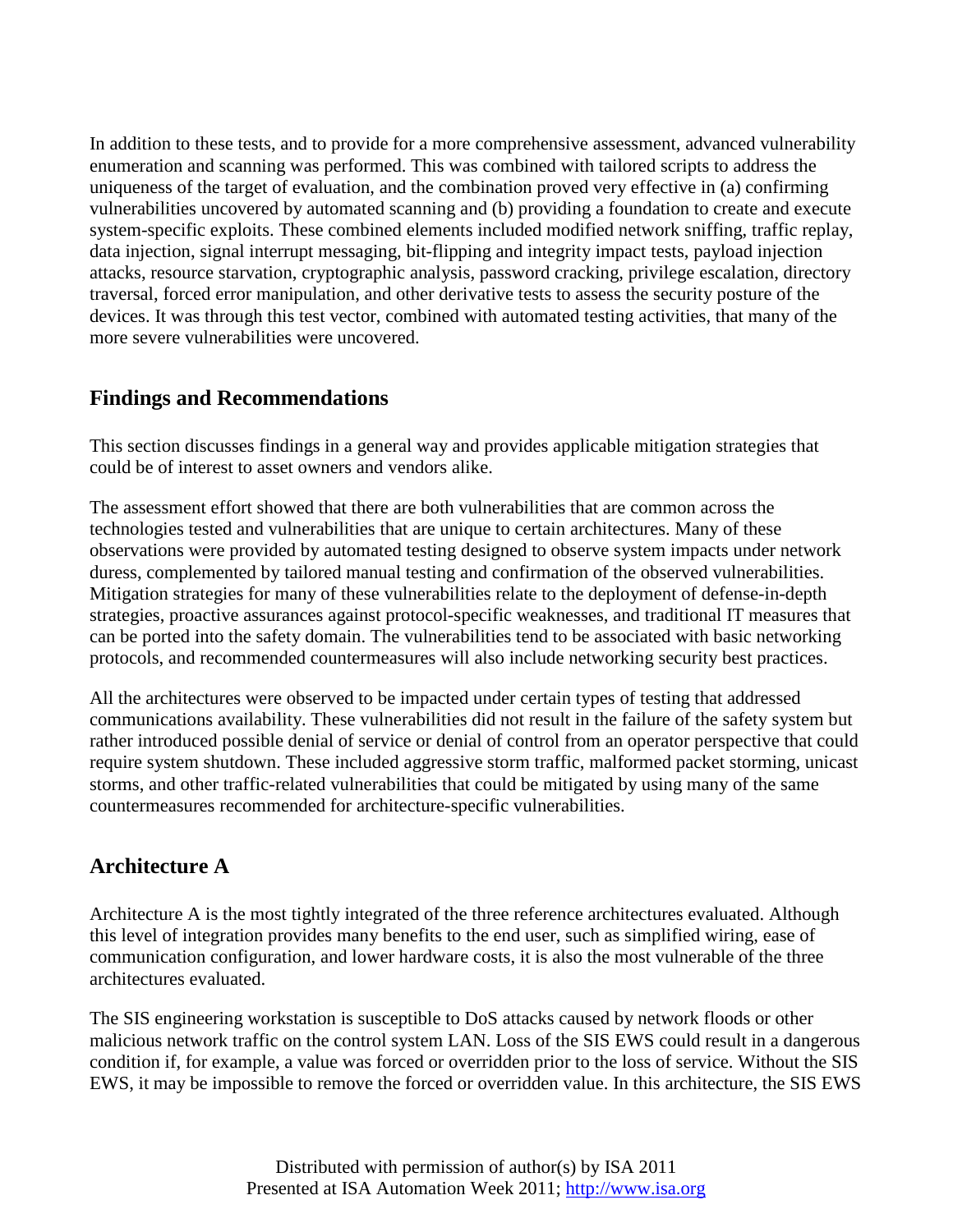In addition to these tests, and to provide for a more comprehensive assessment, advanced vulnerability enumeration and scanning was performed. This was combined with tailored scripts to address the uniqueness of the target of evaluation, and the combination proved very effective in (a) confirming vulnerabilities uncovered by automated scanning and (b) providing a foundation to create and execute system-specific exploits. These combined elements included modified network sniffing, traffic replay, data injection, signal interrupt messaging, bit-flipping and integrity impact tests, payload injection attacks, resource starvation, cryptographic analysis, password cracking, privilege escalation, directory traversal, forced error manipulation, and other derivative tests to assess the security posture of the devices. It was through this test vector, combined with automated testing activities, that many of the more severe vulnerabilities were uncovered.

### **Findings and Recommendations**

This section discusses findings in a general way and provides applicable mitigation strategies that could be of interest to asset owners and vendors alike.

The assessment effort showed that there are both vulnerabilities that are common across the technologies tested and vulnerabilities that are unique to certain architectures. Many of these observations were provided by automated testing designed to observe system impacts under network duress, complemented by tailored manual testing and confirmation of the observed vulnerabilities. Mitigation strategies for many of these vulnerabilities relate to the deployment of defense-in-depth strategies, proactive assurances against protocol-specific weaknesses, and traditional IT measures that can be ported into the safety domain. The vulnerabilities tend to be associated with basic networking protocols, and recommended countermeasures will also include networking security best practices.

All the architectures were observed to be impacted under certain types of testing that addressed communications availability. These vulnerabilities did not result in the failure of the safety system but rather introduced possible denial of service or denial of control from an operator perspective that could require system shutdown. These included aggressive storm traffic, malformed packet storming, unicast storms, and other traffic-related vulnerabilities that could be mitigated by using many of the same countermeasures recommended for architecture-specific vulnerabilities.

# **Architecture A**

Architecture A is the most tightly integrated of the three reference architectures evaluated. Although this level of integration provides many benefits to the end user, such as simplified wiring, ease of communication configuration, and lower hardware costs, it is also the most vulnerable of the three architectures evaluated.

The SIS engineering workstation is susceptible to DoS attacks caused by network floods or other malicious network traffic on the control system LAN. Loss of the SIS EWS could result in a dangerous condition if, for example, a value was forced or overridden prior to the loss of service. Without the SIS EWS, it may be impossible to remove the forced or overridden value. In this architecture, the SIS EWS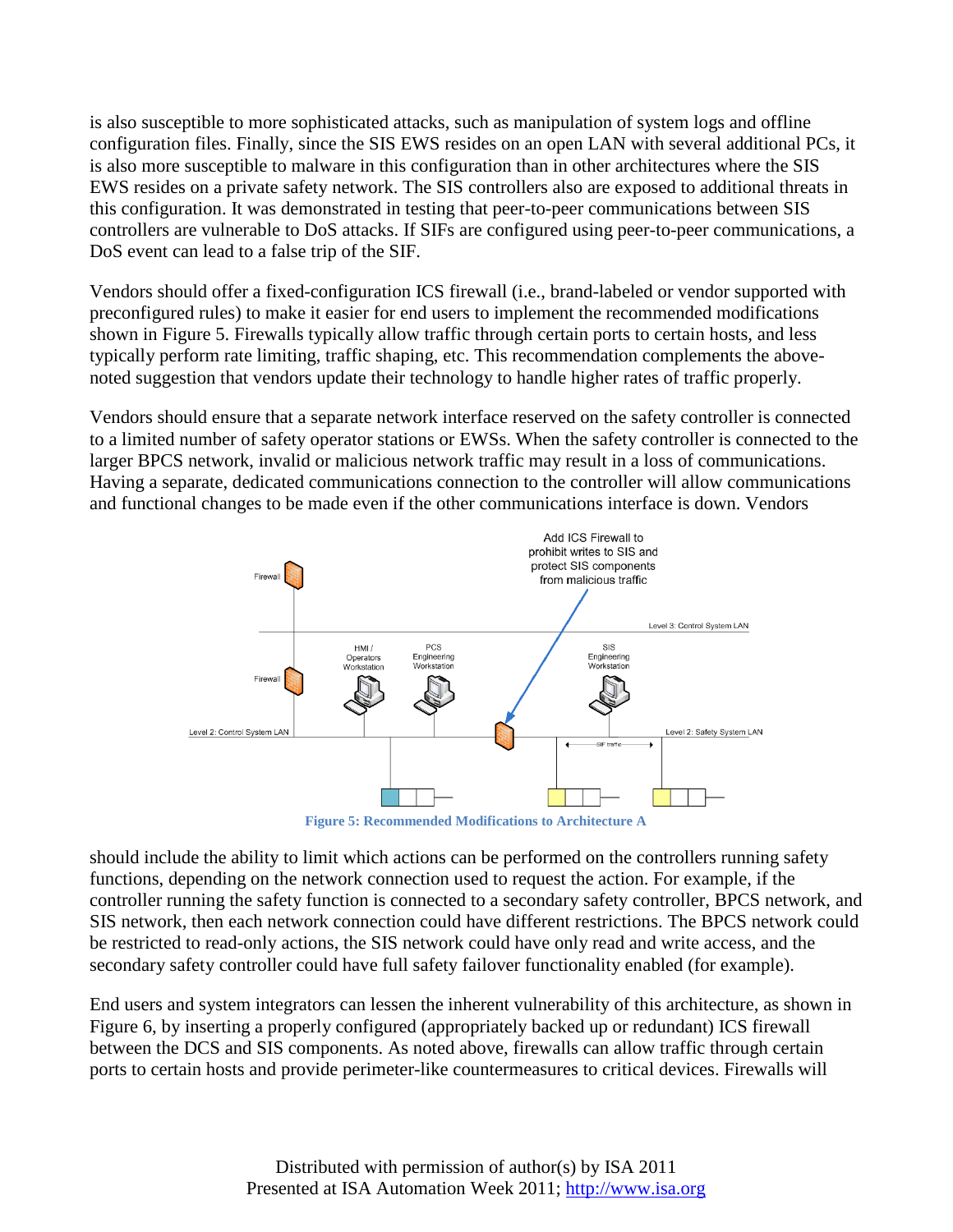is also susceptible to more sophisticated attacks, such as manipulation of system logs and offline configuration files. Finally, since the SIS EWS resides on an open LAN with several additional PCs, it is also more susceptible to malware in this configuration than in other architectures where the SIS EWS resides on a private safety network. The SIS controllers also are exposed to additional threats in this configuration. It was demonstrated in testing that peer-to-peer communications between SIS controllers are vulnerable to DoS attacks. If SIFs are configured using peer-to-peer communications, a DoS event can lead to a false trip of the SIF.

Vendors should offer a fixed-configuration ICS firewall (i.e., brand-labeled or vendor supported with preconfigured rules) to make it easier for end users to implement the recommended modifications shown in Figure 5. Firewalls typically allow traffic through certain ports to certain hosts, and less typically perform rate limiting, traffic shaping, etc. This recommendation complements the abovenoted suggestion that vendors update their technology to handle higher rates of traffic properly.

Vendors should ensure that a separate network interface reserved on the safety controller is connected to a limited number of safety operator stations or EWSs. When the safety controller is connected to the larger BPCS network, invalid or malicious network traffic may result in a loss of communications. Having a separate, dedicated communications connection to the controller will allow communications and functional changes to be made even if the other communications interface is down. Vendors



**Figure 5: Recommended Modifications to Architecture A**

should include the ability to limit which actions can be performed on the controllers running safety functions, depending on the network connection used to request the action. For example, if the controller running the safety function is connected to a secondary safety controller, BPCS network, and SIS network, then each network connection could have different restrictions. The BPCS network could be restricted to read-only actions, the SIS network could have only read and write access, and the secondary safety controller could have full safety failover functionality enabled (for example).

End users and system integrators can lessen the inherent vulnerability of this architecture, as shown in Figure 6, by inserting a properly configured (appropriately backed up or redundant) ICS firewall between the DCS and SIS components. As noted above, firewalls can allow traffic through certain ports to certain hosts and provide perimeter-like countermeasures to critical devices. Firewalls will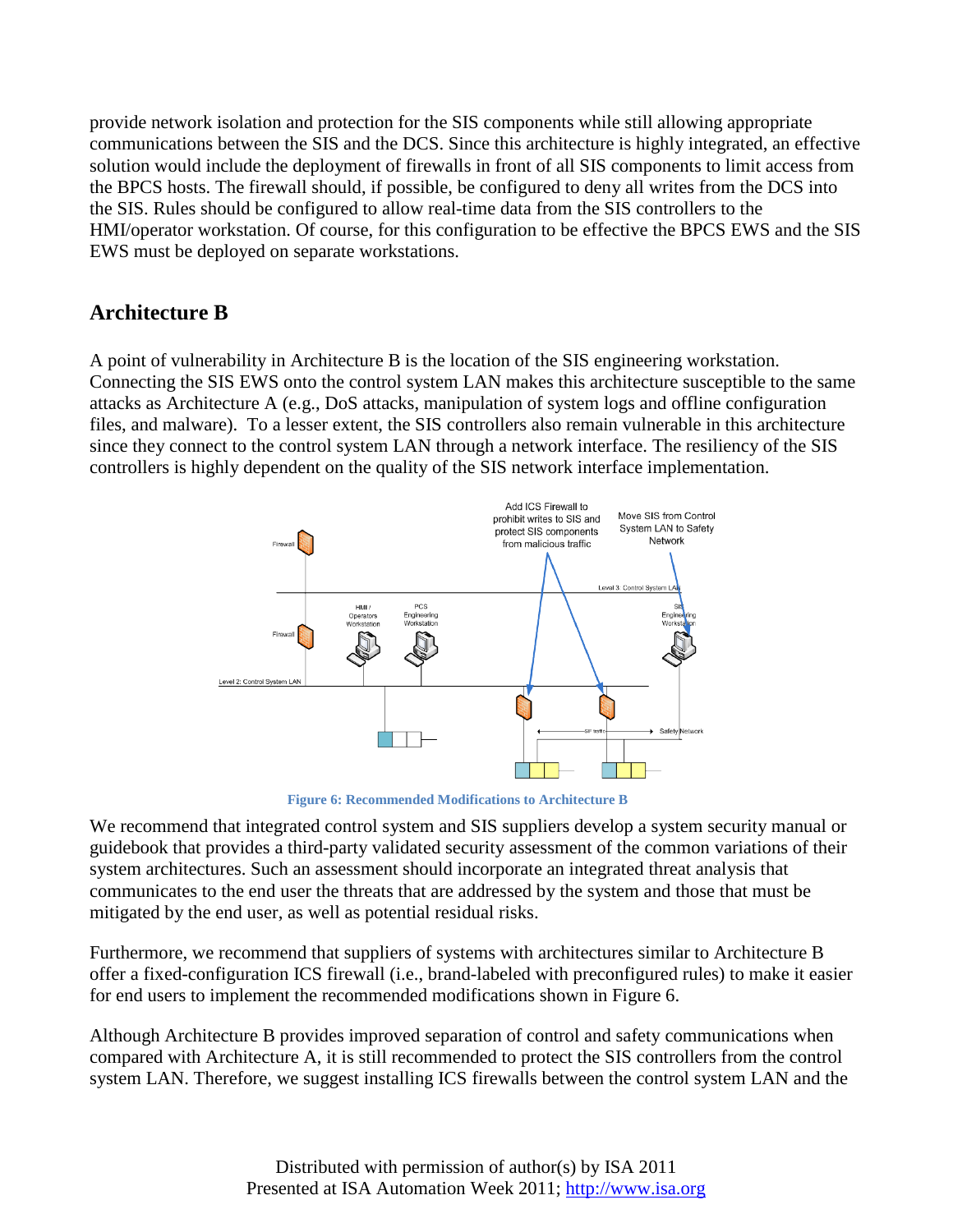provide network isolation and protection for the SIS components while still allowing appropriate communications between the SIS and the DCS. Since this architecture is highly integrated, an effective solution would include the deployment of firewalls in front of all SIS components to limit access from the BPCS hosts. The firewall should, if possible, be configured to deny all writes from the DCS into the SIS. Rules should be configured to allow real-time data from the SIS controllers to the HMI/operator workstation. Of course, for this configuration to be effective the BPCS EWS and the SIS EWS must be deployed on separate workstations.

### **Architecture B**

A point of vulnerability in Architecture B is the location of the SIS engineering workstation. Connecting the SIS EWS onto the control system LAN makes this architecture susceptible to the same attacks as Architecture A (e.g., DoS attacks, manipulation of system logs and offline configuration files, and malware). To a lesser extent, the SIS controllers also remain vulnerable in this architecture since they connect to the control system LAN through a network interface. The resiliency of the SIS controllers is highly dependent on the quality of the SIS network interface implementation.



**Figure 6: Recommended Modifications to Architecture B**

We recommend that integrated control system and SIS suppliers develop a system security manual or guidebook that provides a third-party validated security assessment of the common variations of their system architectures. Such an assessment should incorporate an integrated threat analysis that communicates to the end user the threats that are addressed by the system and those that must be mitigated by the end user, as well as potential residual risks.

Furthermore, we recommend that suppliers of systems with architectures similar to Architecture B offer a fixed-configuration ICS firewall (i.e., brand-labeled with preconfigured rules) to make it easier for end users to implement the recommended modifications shown in Figure 6.

Although Architecture B provides improved separation of control and safety communications when compared with Architecture A, it is still recommended to protect the SIS controllers from the control system LAN. Therefore, we suggest installing ICS firewalls between the control system LAN and the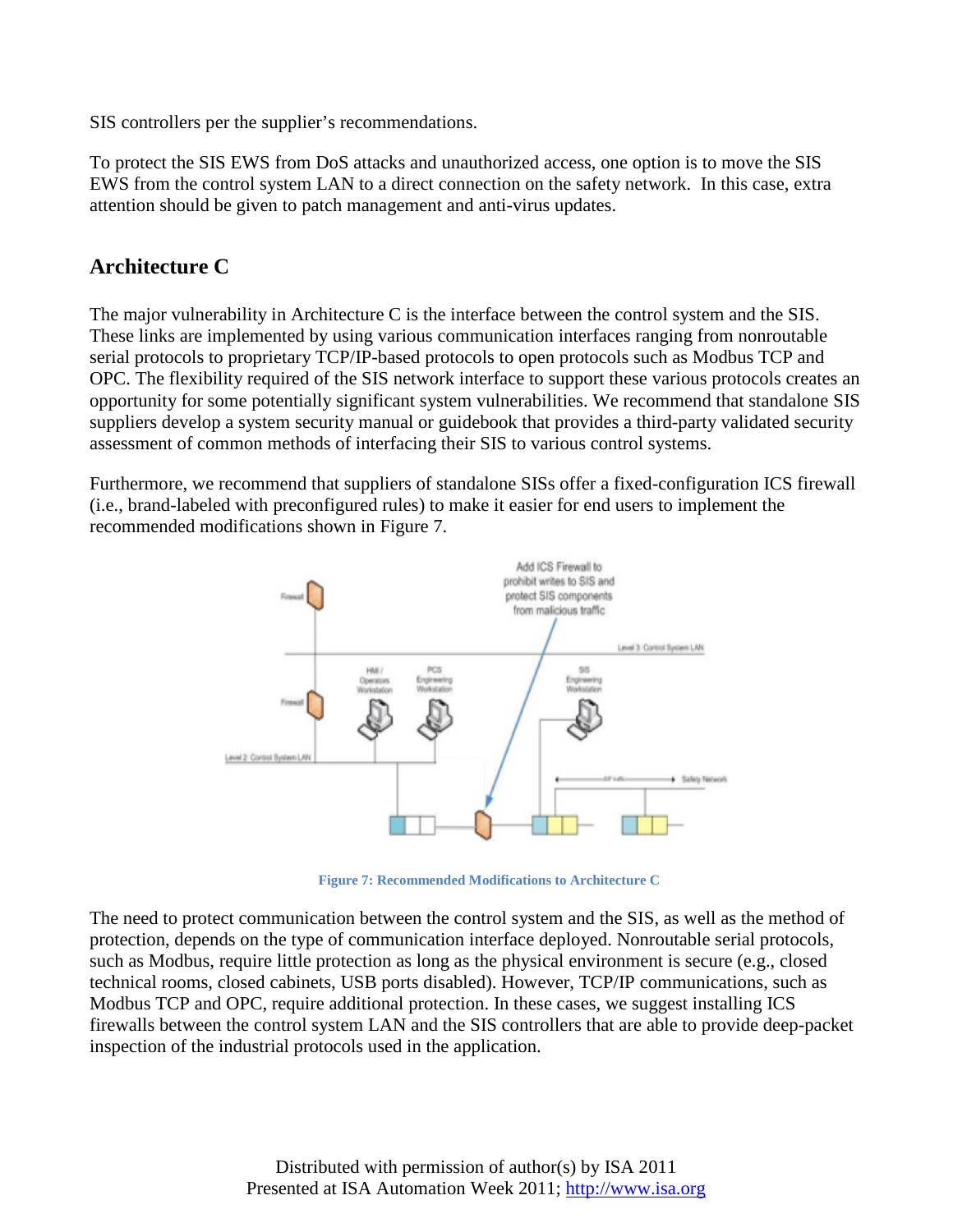SIS controllers per the supplier's recommendations.

To protect the SIS EWS from DoS attacks and unauthorized access, one option is to move the SIS EWS from the control system LAN to a direct connection on the safety network. In this case, extra attention should be given to patch management and anti-virus updates.

# **Architecture C**

The major vulnerability in Architecture C is the interface between the control system and the SIS. These links are implemented by using various communication interfaces ranging from nonroutable serial protocols to proprietary TCP/IP-based protocols to open protocols such as Modbus TCP and OPC. The flexibility required of the SIS network interface to support these various protocols creates an opportunity for some potentially significant system vulnerabilities. We recommend that standalone SIS suppliers develop a system security manual or guidebook that provides a third-party validated security assessment of common methods of interfacing their SIS to various control systems.

Furthermore, we recommend that suppliers of standalone SISs offer a fixed-configuration ICS firewall (i.e., brand-labeled with preconfigured rules) to make it easier for end users to implement the recommended modifications shown in Figure 7.



**Figure 7: Recommended Modifications to Architecture C**

The need to protect communication between the control system and the SIS, as well as the method of protection, depends on the type of communication interface deployed. Nonroutable serial protocols, such as Modbus, require little protection as long as the physical environment is secure (e.g., closed technical rooms, closed cabinets, USB ports disabled). However, TCP/IP communications, such as Modbus TCP and OPC, require additional protection. In these cases, we suggest installing ICS firewalls between the control system LAN and the SIS controllers that are able to provide deep-packet inspection of the industrial protocols used in the application.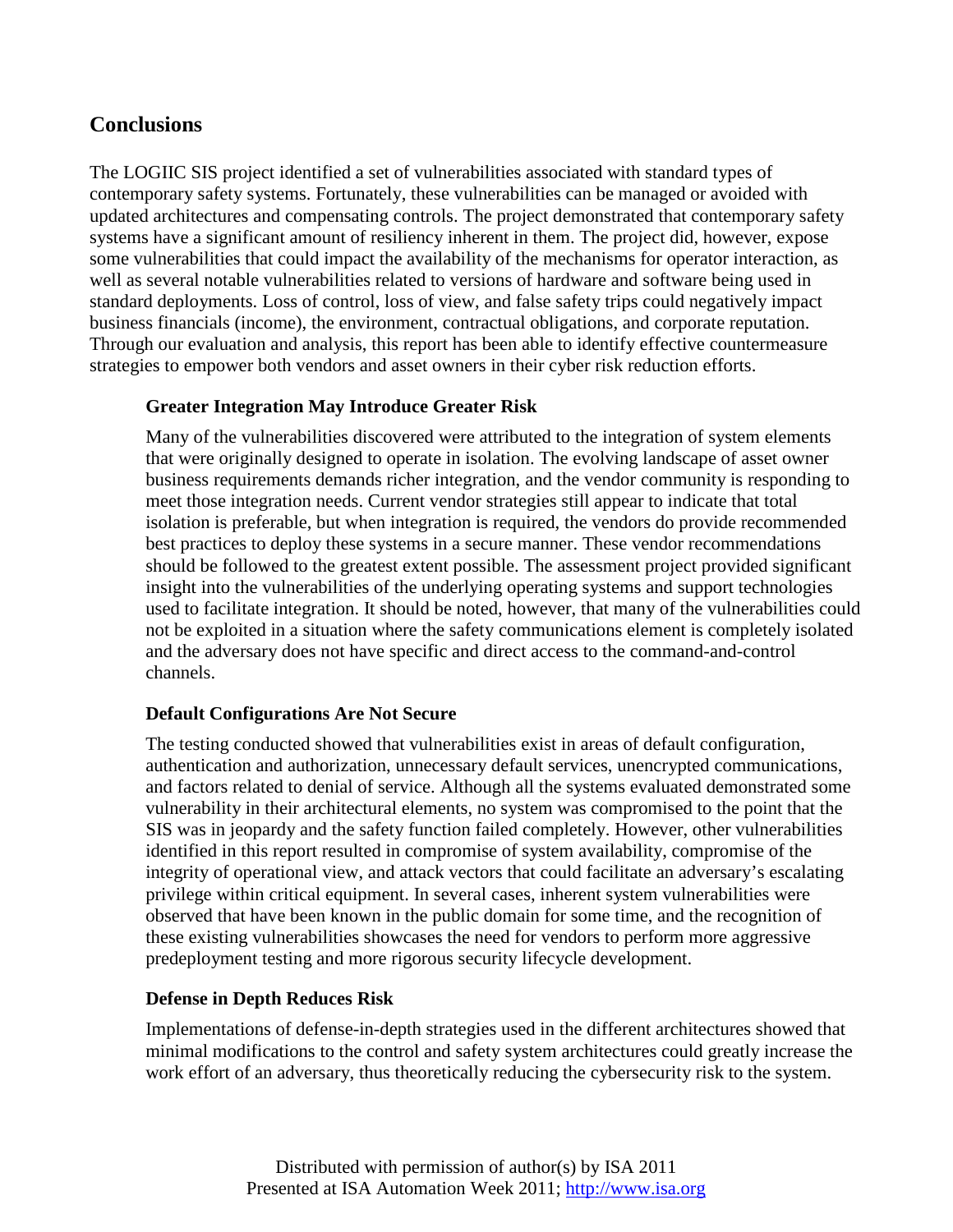### **Conclusions**

The LOGIIC SIS project identified a set of vulnerabilities associated with standard types of contemporary safety systems. Fortunately, these vulnerabilities can be managed or avoided with updated architectures and compensating controls. The project demonstrated that contemporary safety systems have a significant amount of resiliency inherent in them. The project did, however, expose some vulnerabilities that could impact the availability of the mechanisms for operator interaction, as well as several notable vulnerabilities related to versions of hardware and software being used in standard deployments. Loss of control, loss of view, and false safety trips could negatively impact business financials (income), the environment, contractual obligations, and corporate reputation. Through our evaluation and analysis, this report has been able to identify effective countermeasure strategies to empower both vendors and asset owners in their cyber risk reduction efforts.

#### **Greater Integration May Introduce Greater Risk**

Many of the vulnerabilities discovered were attributed to the integration of system elements that were originally designed to operate in isolation. The evolving landscape of asset owner business requirements demands richer integration, and the vendor community is responding to meet those integration needs. Current vendor strategies still appear to indicate that total isolation is preferable, but when integration is required, the vendors do provide recommended best practices to deploy these systems in a secure manner. These vendor recommendations should be followed to the greatest extent possible. The assessment project provided significant insight into the vulnerabilities of the underlying operating systems and support technologies used to facilitate integration. It should be noted, however, that many of the vulnerabilities could not be exploited in a situation where the safety communications element is completely isolated and the adversary does not have specific and direct access to the command-and-control channels.

#### **Default Configurations Are Not Secure**

The testing conducted showed that vulnerabilities exist in areas of default configuration, authentication and authorization, unnecessary default services, unencrypted communications, and factors related to denial of service. Although all the systems evaluated demonstrated some vulnerability in their architectural elements, no system was compromised to the point that the SIS was in jeopardy and the safety function failed completely. However, other vulnerabilities identified in this report resulted in compromise of system availability, compromise of the integrity of operational view, and attack vectors that could facilitate an adversary's escalating privilege within critical equipment. In several cases, inherent system vulnerabilities were observed that have been known in the public domain for some time, and the recognition of these existing vulnerabilities showcases the need for vendors to perform more aggressive predeployment testing and more rigorous security lifecycle development.

#### **Defense in Depth Reduces Risk**

Implementations of defense-in-depth strategies used in the different architectures showed that minimal modifications to the control and safety system architectures could greatly increase the work effort of an adversary, thus theoretically reducing the cybersecurity risk to the system.